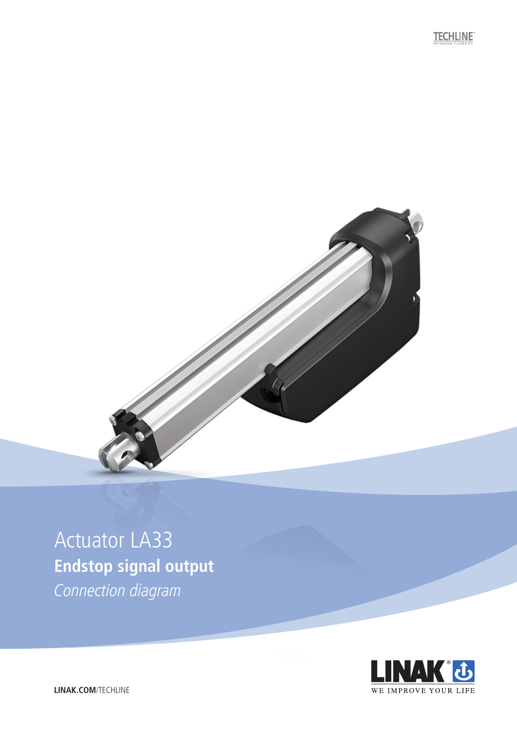**TECHLINE** 



# Actuator LA33 **Endstop signal output**

Connection diagram



**LINAK.COM**/TECHLINE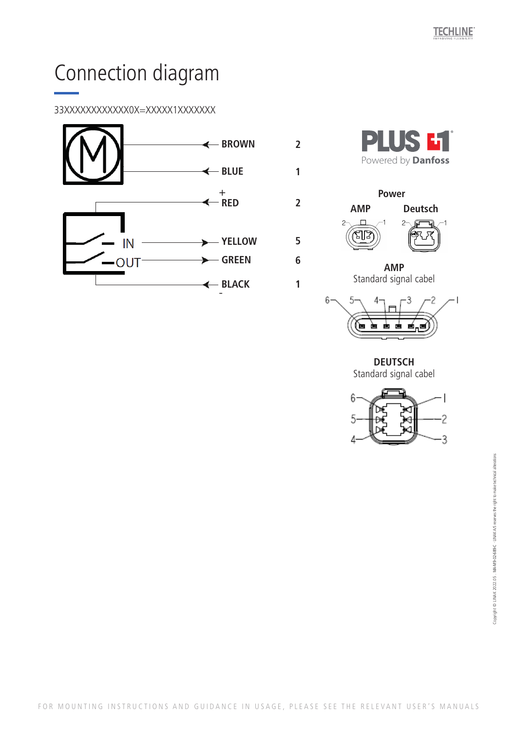## Connection diagram

### 33XXXXXXXXXXXX0X=XXXXX1XXXXXXX





**2**

**1**

**2**

**5**

**6**

**1**



**AMP**  Standard signal cabel



**DEUTSCH**  Standard signal cabel

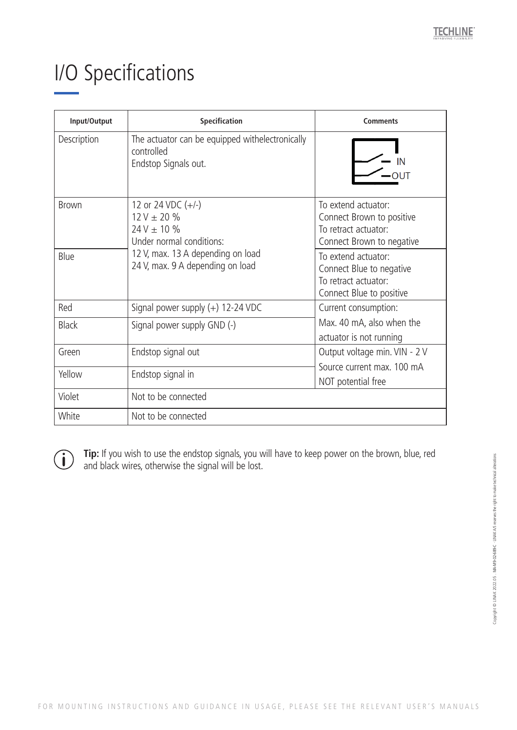### I/O Specifications

| Input/Output | Specification                                                                                                                                                    | <b>Comments</b>                                                                                       |
|--------------|------------------------------------------------------------------------------------------------------------------------------------------------------------------|-------------------------------------------------------------------------------------------------------|
| Description  | The actuator can be equipped withelectronically<br>controlled<br>Endstop Signals out.                                                                            |                                                                                                       |
| <b>Brown</b> | 12 or 24 VDC $(+/-)$<br>$12 V \pm 20 \%$<br>$24V \pm 10 \%$<br>Under normal conditions:<br>12 V, max. 13 A depending on load<br>24 V, max. 9 A depending on load | To extend actuator:<br>Connect Brown to positive<br>To retract actuator:<br>Connect Brown to negative |
| Blue         |                                                                                                                                                                  | To extend actuator:<br>Connect Blue to negative<br>To retract actuator:<br>Connect Blue to positive   |
| Red          | Signal power supply $(+)$ 12-24 VDC                                                                                                                              | Current consumption:<br>Max. 40 mA, also when the<br>actuator is not running                          |
| <b>Black</b> | Signal power supply GND (-)                                                                                                                                      |                                                                                                       |
| Green        | Endstop signal out                                                                                                                                               | Output voltage min. VIN - 2 V<br>Source current max, 100 mA<br>NOT potential free                     |
| Yellow       | Endstop signal in                                                                                                                                                |                                                                                                       |
| Violet       | Not to be connected                                                                                                                                              |                                                                                                       |
| White        | Not to be connected                                                                                                                                              |                                                                                                       |

 $\left( \mathbf{i} \right)$ 

**Tip:** If you wish to use the endstop signals, you will have to keep power on the brown, blue, red and black wires, otherwise the signal will be lost.